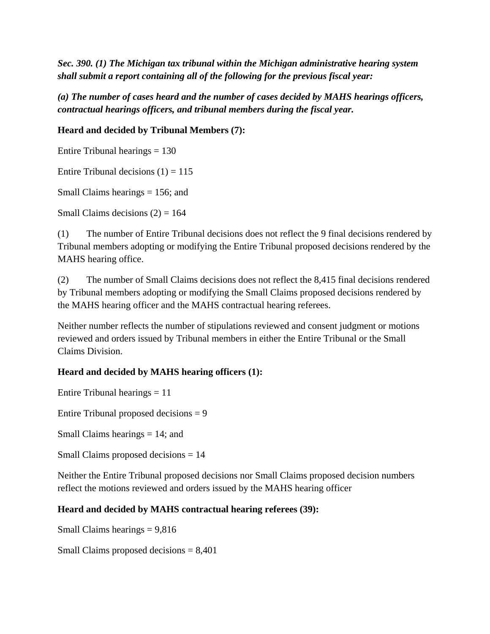*Sec. 390. (1) The Michigan tax tribunal within the Michigan administrative hearing system shall submit a report containing all of the following for the previous fiscal year:* 

*(a) The number of cases heard and the number of cases decided by MAHS hearings officers, contractual hearings officers, and tribunal members during the fiscal year.* 

**Heard and decided by Tribunal Members (7):**

Entire Tribunal hearings  $= 130$ 

Entire Tribunal decisions  $(1) = 115$ 

Small Claims hearings = 156; and

Small Claims decisions  $(2) = 164$ 

(1) The number of Entire Tribunal decisions does not reflect the 9 final decisions rendered by Tribunal members adopting or modifying the Entire Tribunal proposed decisions rendered by the MAHS hearing office.

(2) The number of Small Claims decisions does not reflect the 8,415 final decisions rendered by Tribunal members adopting or modifying the Small Claims proposed decisions rendered by the MAHS hearing officer and the MAHS contractual hearing referees.

Neither number reflects the number of stipulations reviewed and consent judgment or motions reviewed and orders issued by Tribunal members in either the Entire Tribunal or the Small Claims Division.

## **Heard and decided by MAHS hearing officers (1):**

Entire Tribunal hearings  $= 11$ 

Entire Tribunal proposed decisions  $= 9$ 

Small Claims hearings = 14; and

Small Claims proposed decisions = 14

Neither the Entire Tribunal proposed decisions nor Small Claims proposed decision numbers reflect the motions reviewed and orders issued by the MAHS hearing officer

## **Heard and decided by MAHS contractual hearing referees (39):**

Small Claims hearings  $= 9,816$ 

Small Claims proposed decisions = 8,401